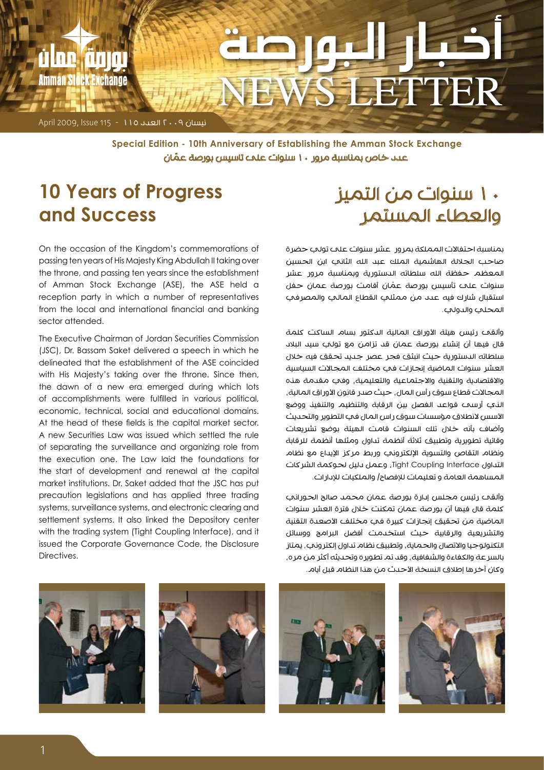

نيسان 2009 العدد 115 - 115 Issue 2009, April

عدد خاص بمناسبة مرور 10 ّ سنوات على تاسيس بورصة عمان **Special Edition - 10th Anniversary of Establishing the Amman Stock Exchange** 

#### **10 Years of Progress and Success**

#### 10 سنوات من التميز والعطاء المستمر

المحلي والدولي.

بمناسبة احتفالات المملكة بمرور عشر سنوات على تولب حضرة صاحب الجاللة الهاشمية الملك عبد الله الثاني ابن الحسين المعظم حفظة الله سلطاته الدستورية وبمناسبة مرور عشر ّ سنوات على تأسيس بورصة عمان أقامت بورصة عمان حفل استقبال شارك فيه عدد من ممثلي القطاع المالي والمصرفي

وألقح رئيس هيئة الأوراق المالية الدكتور بسام الساكت كلمة قال فيها أن إنشاء بورصة عمان قد تزامن مع تولي سيد البالد سلطاته الدستورية حيث انبثق فجر عصر جديد تحقق فيه خالل العشر سنوات الماضية إنجازات في مختلف المجاالت السياسية واالقتصادية والتقنية واالجتماعية والتعليمية، وفي مقدمة هذه المجالات قطاع سوق رأس المال، حيث صدر قانون الأوراق المالية، الذي أرسى قواعد الفصل بين الرقابة والتنظيم والتنفيذ ووضع الأسس لانطلاق مؤسسات سوق راس المال في التطوير والتحديث وأضاف بأنه خالل تلك السنوات قامت الهيئة بوضع تشريعات وقائية تطويرية وتطبيق ثالثة أنظمة تداول ومثلها أنظمة للرقابة ونظام التقاص والتسوية الإلكتروني وربط مركز الإيداع مع نظام التداول Interface Coupling Tight، وعمل دليل لحوكمة الشركات المساهمة العامة و تعليمات لإلفصاح/ والملكيات لإلدارات.

وألقى رئيس مجلس إدارة بورصة عمان محمد صالح الحوراني كلمة قال فيها أن بورصة عمان تمكنت خالل فترة العشر سنوات الماضية من تحقيق إنجازات كبيرة في مختلف الأصعدة التقنية والتشريعية والرقابية حيث استخدمت أفضل البرامج ووسائل التكنولوجيا والاتصال والحماية، وتطبيق نظام تداول إلكتروني، يمتاز بالسرعة والكفاءة والشفافية، وقد تم تطويره وتحديثه أكثر من مره، وكان آخرها إطلاق النسخة الأحدث من هذا النظام قبل أيام.

On the occasion of the Kingdom's commemorations of passing ten years of His Majesty King Abdullah II taking over the throne, and passing ten years since the establishment of Amman Stock Exchange (ASE), the ASE held a reception party in which a number of representatives from the local and international financial and banking sector attended.

The Executive Chairman of Jordan Securities Commission (JSC), Dr. Bassam Saket delivered a speech in which he delineated that the establishment of the ASE coincided with His Majesty's taking over the throne. Since then, the dawn of a new era emerged during which lots of accomplishments were fulfilled in various political, economic, technical, social and educational domains. At the head of these fields is the capital market sector. A new Securities Law was issued which settled the rule of separating the surveillance and organizing role from the execution one. The Law laid the foundations for the start of development and renewal at the capital market institutions. Dr. Saket added that the JSC has put precaution legislations and has applied three trading systems, surveillance systems, and electronic clearing and settlement systems. It also linked the Depository center with the trading system (Tight Coupling Interface), and it issued the Corporate Governance Code, the Disclosure Directives.







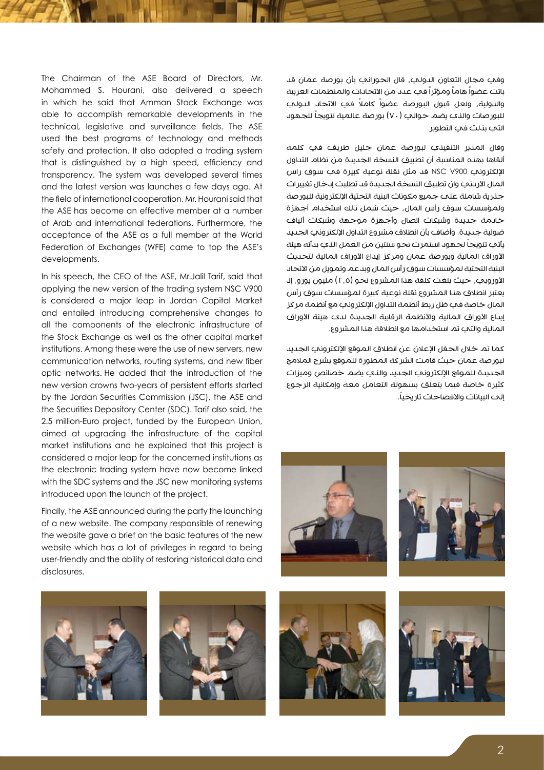وفي مجال التعاون الدولي، قال الحوراني بأن بورصة عمان قد باتت عضواً هاماً ومؤثراً في عدد من الاتحادات والمنظمات العربية والدولية، ولعل قبول البورصة عضواً ً كامال في االتحاد الدولي للبورصات والذي يضم حوالي (٧٠) بورصة عالمية تتويجاً للجهود التي بذلت في التطوير.

وقال المدير التنفيذي لبورصة عمان جليل طريف في كلمه ألقاها بهذه المناسبة أن تطبيق النسخة الجديدة من نظام التداول اإللكتروني 900V NSC قد مثل نقلة نوعية كبيرة في سوق راس المال الأردني وان تطبيق النسخة الجديدة قد تطلبت إدخال تغييرات جنرية شاملة علم جميع مكونات البنية التحتية الإلكترونية للبورصة ولمؤسسات سوق رأس المال، حيث شمل ذلك استخدام أجهزة خادمة جديدة وشبكات اتصال وأجهزة موجهة وشبكات ألياف ضوئية جديدة. وأضاف بأن انطلاق مشروع التداول الإلكتروني الجديد يأتي تتويجاً لجهود استمرت نحو سنتين من العمل الذي بدأته هيئة الأوراق المالية وبورصة عمان ومركز إيداع الأوراق المالية لتحديث البنية التحتية لمؤسسات سوق رأس المال وبدعم وتمويل من االتحاد الأوروبي، حيث بلغت كلفة هذا المشروع نحو (٢,٥) مليون يورو، إذ يعتبر انطلاق هذا المشروع نقلة نوعية كبيرة لمؤسسات سوق رأس المال خاصة في ظل ربط أنظمة التداول اإللكتروني مع أنظمة مركز إيداع الأوراق المالية والأنظمة الرقابية الجديدة لدى هيئة الأوراق المالية والتي تم استخدامها مع انطالقة هذا المشروع.

كما تم خلال الحفل الإعلان عن انطلاق الموقع الإلكتروني الجديد لبورصة عمان حيث قامت الشركة المطورة للموقع بشرح المالمح الجديدة للموقع الإلكتروني الجديد والذي يضم خصائص وميزات كثيرة خاصة فيما يتعلق بسهولة التعامل معه وإمكانية الرجوع إلى البيانات والافصاحات تاريخياً.







Mohammed S. Hourani, also delivered a speech in which he said that Amman Stock Exchange was able to accomplish remarkable developments in the technical, legislative and surveillance fields. The ASE used the best programs of technology and methods safety and protection. It also adopted a trading system that is distinguished by a high speed, efficiency and transparency. The system was developed several times and the latest version was launches a few days ago. At the field of international cooperation, Mr. Hourani said that the ASE has become an effective member at a number of Arab and international federations. Furthermore, the acceptance of the ASE as a full member at the World Federation of Exchanges (WFE) came to top the ASE's developments.

The Chairman of the ASE Board of Directors, Mr.

In his speech, the CEO of the ASE, Mr.Jalil Tarif, said that applying the new version of the trading system NSC V900 is considered a major leap in Jordan Capital Market and entailed introducing comprehensive changes to all the components of the electronic infrastructure of the Stock Exchange as well as the other capital market institutions. Among these were the use of new servers, new communication networks, routing systems, and new fiber optic networks. He added that the introduction of the new version crowns two-years of persistent efforts started by the Jordan Securities Commission (JSC), the ASE and the Securities Depository Center (SDC). Tarif also said, the 2.5 million-Euro project, funded by the European Union, aimed at upgrading the infrastructure of the capital market institutions and he explained that this project is considered a major leap for the concerned institutions as the electronic trading system have now become linked with the SDC systems and the JSC new monitoring systems introduced upon the launch of the project.

Finally, the ASE announced during the party the launching of a new website. The company responsible of renewing the website gave a brief on the basic features of the new website which has a lot of privileges in regard to being user-friendly and the ability of restoring historical data and disclosures.



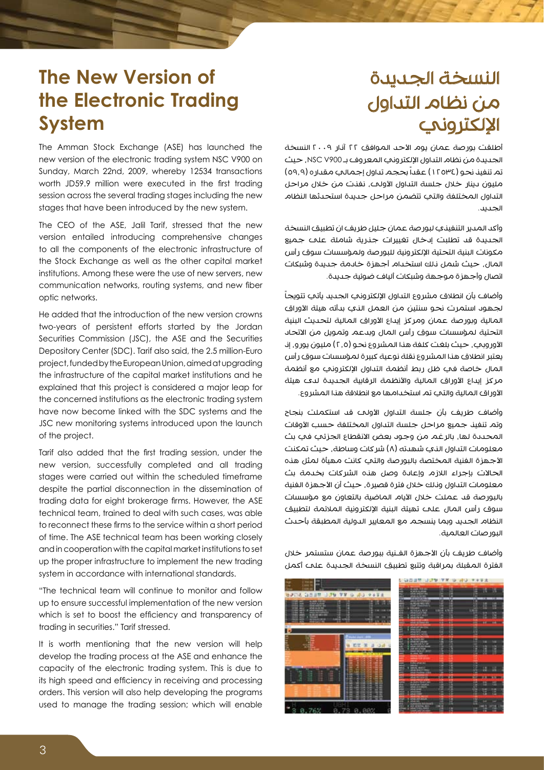### النسخة الجديدة من نظام التداول اإللكتروني

## **The New Version of the Electronic Trading System**

The Amman Stock Exchange (ASE) has launched the new version of the electronic trading system NSC V900 on Sunday, March 22nd, 2009, whereby 12534 transactions worth JD59.9 million were executed in the first trading session across the several trading stages including the new stages that have been introduced by the new system.

The CEO of the ASE, Jalil Tarif, stressed that the new version entailed introducing comprehensive changes to all the components of the electronic infrastructure of the Stock Exchange as well as the other capital market institutions. Among these were the use of new servers, new communication networks, routing systems, and new fiber optic networks.

He added that the introduction of the new version crowns two-years of persistent efforts started by the Jordan Securities Commission (JSC), the ASE and the Securities Depository Center (SDC). Tarif also said, the 2.5 million-Euro project, funded by the European Union, aimed at upgrading the infrastructure of the capital market institutions and he explained that this project is considered a major leap for the concerned institutions as the electronic trading system have now become linked with the SDC systems and the JSC new monitoring systems introduced upon the launch of the project.

Tarif also added that the first trading session, under the new version, successfully completed and all trading stages were carried out within the scheduled timeframe despite the partial disconnection in the dissemination of trading data for eight brokerage firms. However, the ASE technical team, trained to deal with such cases, was able to reconnect these firms to the service within a short period of time. The ASE technical team has been working closely and in cooperation with the capital market institutions to set up the proper infrastructure to implement the new trading system in accordance with international standards.

"The technical team will continue to monitor and follow up to ensure successful implementation of the new version which is set to boost the efficiency and transparency of trading in securities." Tarif stressed.

It is worth mentioning that the new version will help develop the trading process at the ASE and enhance the capacity of the electronic trading system. This is due to its high speed and efficiency in receiving and processing programs orders. This version will also help developing the programs used to manage the trading session; which will enable

أطلقت بورصة عمان يوم الأحد الموافق ٢٢ آذار ٢٠٠٩ النسخة الجديدة من نظام التداول اإللكتروني المعروف بـ 900V NSC، حيث تم تنفيذ نحو (١٢٥٣٤) عقداً بحجم تداول إجمالي مقداره (٥٩,٩) مليون دينار خالل جلسة التداول األولى، نفذت من خالل مراحل التداول المختلفة والتي تتضمن مراحل جديدة استحدثها النظام الجديد.

وأكد المدير التنفيذي لبورصة عمان جليل طريف ان تطبيق النسخة الجديدة قد تطلبت إدخال تغييرات جذرية شاملة على جميع مكونات البنية التحتية اإللكترونية للبورصة ولمؤسسات سوق رأس المال، حيث شمل ذلك استخدام أجهزة خادمة جديدة وشبكات اتصال وأجهزة موجهة وشبكات ألياف ضوئية جديدة.

وأضاف بأن انطلاق مشروع التداول الإلكتروني الجديد يأتي تتويجا لجهود استمرت نحو سنتين من العمل الذي بدأته هيئة األوراق المالية وبورصة عمان ومركز إيداع األوراق المالية لتحديث البنية التحتية لمؤسسات سوق رأس المال وبدعم وتمويل من االتحاد الأوروبي، حيث بلغت كلفة هذا المشروع نحو (٢,٥) مليون يورو، إن يعتبر انطالق هذا المشروع نقلة نوعية كبيرة لمؤسسات سوق رأس المال خاصة في ظل ربط أنظمة التداول الإلكتروني مع أنظمة مركز إيداع الأوراق المالية والأنظمة الرقابية الجديدة لدى هيئة الأوراق المالية والتي تم استخدامها مع انطلاقة هذا المشروع.

وأضاف طريف بأن جلسة التداول الأولى قد استكملت بنجاح وتم تنفيذ جميع مراحل جلسة التداول المختلفة حسب الأوقات المحددة لها، بالرغم من وجود بعض الانقطاع الجزئي في بث معلومات التداول الذي شهدته (٨) شركات وساطة، حيث تمكنت األجهزة الفنية المختصة بالبورصة والتي كانت مهيأة لمثل هذه الحاالت بإجراء الالزم وإعادة وصل هذه الشركات بخدمة بث معلومات التداول وذلك خلال فترة قصيرة، حيث أن الأجهزة الفنية بالبورصة قد عملت خالل األيام الماضية بالتعاون مع مؤسسات سوق رأس المال علم تهيئة البنية الإلكترونية الملائمة لتطبيق النظام الجديد وبما ينسجم مع المعايير الدولية المطبقة بأحدث البورصات العالمية.

وأضاف طريف بأن الأجهزة الفـنية ببورصة عمان ستستمر خلال الفترة المقبلة بمراقبة وتتبع تطبيق النسخة الجديدة على أكمل

|                                                   | OUTE TIA AX D MO ask F<br>a                                                                           |
|---------------------------------------------------|-------------------------------------------------------------------------------------------------------|
| <b>MEG SON</b><br>179.78<br>9.43.8<br>41.2<br>tà. | 学校<br>٠<br><br>m<br>-                                                                                 |
| œ<br>m<br>▬                                       | <b>ASSOCIATE</b><br><b>FETTI</b><br>E<br>掴<br>٠<br>ä<br>119<br>驵<br>m<br><b>STATE</b><br><b>CHECK</b> |
| $-3 - 49$                                         | E<br>高端<br>E<br>to<br>m<br><b>PARTIES</b><br>24<br>H<br>E<br>ê                                        |
| <b>STATISTICS</b><br>医胃腺炎                         | <b>MARKET FOR SAFARE</b><br>E<br>ł<br>ш<br>13<br>74448<br>E<br>٠<br>福                                 |
| 1.11.11.11.11<br><b>CONTRACTOR</b><br>ä<br>Ω<br>я | 쁖<br>Ħ<br>H<br>ı<br>24,000,000<br>扭                                                                   |

E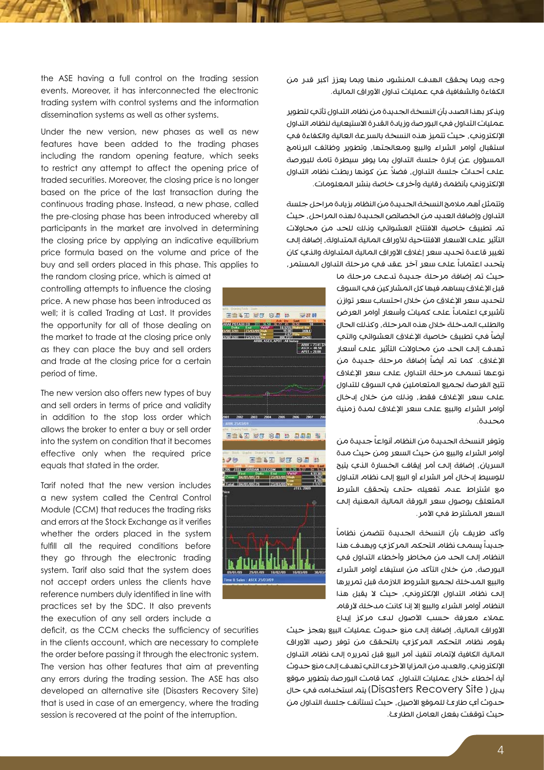وجه وبما يحقق الهدف المنشود منها وبما يعزز أكبر قدر من الكفاءة والشفافية في عمليات تداول الأوراق المالية.

ويذكر بهذا الصدد بأن النسخة الجديدة من نظام التداول تأتي لتطوير عمليات التداول في البورصة وزيادة القدرة االستيعابية لنظام التداول اإللكتروني، حيث تتميز هذه النسخة بالسرعة العالية والكفاءة في استقبال أوامر الشراء والبيع ومعالجتها، وتطوير وظائف البرنامج المسؤول عن إدارة جلسة التداول بما يوفر سيطرة تامة للبورصة ً على أحداث جلسة التداول، فضال عن كونها ربطت نظام التداول اإللكتروني بأنظمة رقابية وأخرى خاصة بنشر المعلومات.

وتتمثل أهم مالمح النسخة الجديدة من النظام بزيادة مراحل جلسة التداول وإضافة العديد من الخصائص الجديدة لهذه المراحل، حيث تم تطبيق خاصية الافتتاح العشوائي ونلك للحد من محاولات التأثير علم الأسعار الافتتاحية للأوراق المالية المتداولة، إضافة إلى تغيير قاعدة تحديد سعر إغلاق الأوراق المالية المتداولة والذي كان يتحدد اعتماداً على سعر آخر عقد في مرحلة التداول المستمر،

> حيث تم إضافة مرحلة جديدة تدعى مرحلة ما قبل الإغلاق يساهم فيها كل المشار كين في السوق لتحديد سعر الإغلاق من خلال احتساب سعر توازن تأشيري اعتماداً على كميات وأسعار أوامر العرض والطلب المدخلة خالل هذه المرحلة، وكذلك الحال أيضاً في تطبيق خاصية الإغلاق العشوائمي والتي تهدف إلى الحد من محاوالت التأثير على أسعار الإغلاق. كما تم أيضاً إضافة مرحلة جديدة من نوعها تسمى مرحلة التداول على سعر اإلغالق تتيح الفرصة لجميع المتعاملين في السوق للتداول علم سعر الإغلاق فقط، ونلك من خلال إدخال أوامر الشراء والبيع علم سعر الإغلاق لمدة زمنية محددة.

> وتوفر النسخة الجديدة من النظام أنواعاً جديدة من أوامر الشراء والبيع من حيث السعر ومن حيث مدة السريان، إضافة إلى أمر إيقاف الخسارة الذي يتيح للوسيط إدخال أمر الشراء أو البيع إلى نظام التداول مع اشتراط عدم تفعيله حتى يتحقق الشرط المتعلق بوصول سعر الورقة المالية المعنية إلى السعر المشترط في الأمر.

ً وأكد طريف بأن النسخة الجديدة تتضمن نظاما جديداً يسمى نظام التحكم المركزي ويهدف هذا النظام إلى الحد من مخاطر وأخطاء التداول في البورصة، من خالل التأكد من استيفاء أوامر الشراء والبيع المدخلة لجميع الشروط الالزمة قبل تمريرها إلى نظام التداول اإللكتروني، حيث ال يقبل هذا النظام أوامر الشراء والبيع إلا إنا كانت مدخلة لأرقام عملاء معرفة حسب الأصول لاى مركز إيداع

الأوراق المالية، إضافة إلى منع حدوث عمليات البيع بعجز حيث يقوم نظام التحكم المركزي بالتحقق من توفر رصيد األوراق المالية الكافية إلتمام تنفيذ أمر البيع قبل تمريره إلى نظام التداول الإلكتروني، والعديد من المزايا الأخرى التي تهدف إلى منع حدوث أية أخطاء خلال عمليات التداول. كما قامت البورصة بتطوير موقع بديل ) Site Recovery Disasters )يتم استخدامه في حال حدوث أي طارئ للموقع الأصيل، حيث تستأنف جلسة التداول من حيث توقفت بفعل العامل الطارئ.

the ASE having a full control on the trading session events. Moreover, it has interconnected the electronic trading system with control systems and the information dissemination systems as well as other systems.

Under the new version, new phases as well as new features have been added to the trading phases including the random opening feature, which seeks to restrict any attempt to affect the opening price of traded securities. Moreover, the closing price is no longer based on the price of the last transaction during the continuous trading phase. Instead, a new phase, called the pre-closing phase has been introduced whereby all participants in the market are involved in determining the closing price by applying an indicative equilibrium price formula based on the volume and price of the buy and sell orders placed in this phase. This applies to

the random closing price, which is aimed at controlling attempts to influence the closing price. A new phase has been introduced as well; it is called Trading at Last. It provides the opportunity for all of those dealing on the market to trade at the closing price only as they can place the buy and sell orders and trade at the closing price for a certain period of time.

The new version also offers new types of buy and sell orders in terms of price and validity in addition to the stop loss order which allows the broker to enter a buy or sell order into the system on condition that it becomes effective only when the required price equals that stated in the order.

Tarif noted that the new version includes a new system called the Central Control Module (CCM) that reduces the trading risks and errors at the Stock Exchange as it verifies whether the orders placed in the system fulfill all the required conditions before they go through the electronic trading system. Tarif also said that the system does not accept orders unless the clients have reference numbers duly identified in line with practices set by the SDC. It also prevents the execution of any sell orders include a

deficit, as the CCM checks the sufficiency of securities in the clients account, which are necessary to complete the order before passing it through the electronic system. The version has other features that aim at preventing any errors during the trading session. The ASE has also developed an alternative site (Disasters Recovery Site) that is used in case of an emergency, where the trading session is recovered at the point of the interruption.

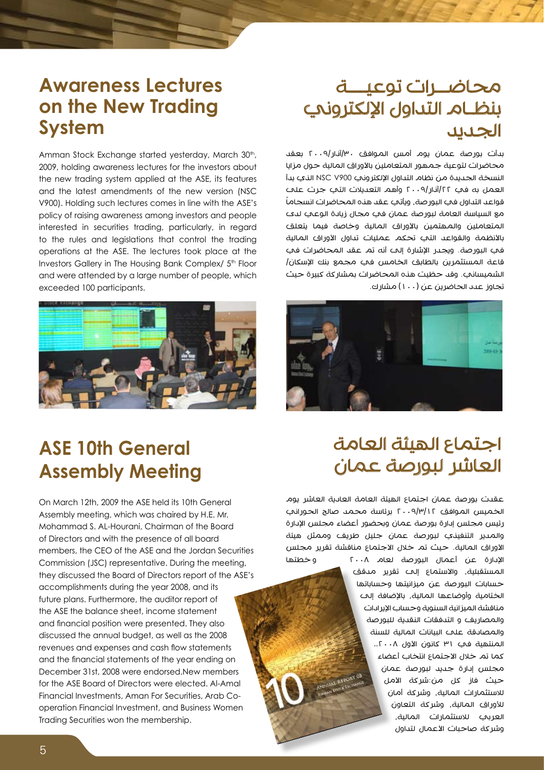#### **Lectures Awareness on the New Trading System**

Amman Stock Exchange started yesterday, March 30th, 2009, holding awareness lectures for the investors about the new trading system applied at the ASE, its features and the latest amendments of the new version (NSC V900). Holding such lectures comes in line with the ASE's policy of raising awareness among investors and people interested in securities trading, particularly, in regard to the rules and legislations that control the trading operations at the ASE. The lectures took place at the Investors Gallery in The Housing Bank Complex/ 5<sup>th</sup> Floor and were attended by a large number of people, which exceeded 100 participants.



#### محاضــرات توعيـــة بنظـام التداول الإلكتروني الجديد

بدأت بورصة عمان يوم أمس الموافق /30آذار2009/ بعقد محاضرات لتوعية جمهور المتعاملين بالأوراق المالية حول مزايا النسخة الجديدة من نظام التداول اإللكتروني 900V NSC الذي بدأ العمل به في ٢٢/آذار/٢٠٠٩ وأهم التعديلات التي جرت علت قواعد التداول في البورصة، ويأتي عقد هذه المحاضرات انسجاما مع السياسة العامة لبورصة عمان في مجال زيادة الوعي لدى المتعاملين والمهتمين بالأوراق المالية وخاصة فيما يتعلق باألنظمة والقواعد التي تحكم عمليات تداول األوراق المالية في البورصة. ويجدر اإلشارة إلى أنه تم عقد المحاضرات في قاعة المستثمرين بالطابق الخامس في مجمع بنك اإلسكان/ الشميساني. وقد حظيت هذه المحاضرات بمشاركة كبيرة حيث تجاوز عدد الحاضرين عن (١٠٠) مشارك.



### **ASE 10th General Assembly Meeting**

On March 12th, 2009 the ASE held its 10th General Assembly meeting, which was chaired by H.E. Mr. Mohammad S. AL-Hourani, Chairman of the Board of Directors and with the presence of all board members, the CEO of the ASE and the Jordan Securities Commission (JSC) representative. During the meeting, they discussed the Board of Directors report of the ASE's accomplishments during the year 2008, and its future plans. Furthermore, the auditor report of the ASE the balance sheet, income statement and financial position were presented. They also discussed the annual budget, as well as the 2008 revenues and expenses and cash flow statements and the financial statements of the vear ending on December 31st, 2008 were endorsed. New members for the ASE Board of Directors were elected. Al-Amal operation Financial Investment, and Business Women Financial Investments, Aman For Securities, Arab Co-Trading Securities won the membership.

### اجتماع الهيئة العامة العاشر لبورصة عمان

عقدت بورصة عمان اجتماع الهيئة العامة العادية العاشر يوم الخميس الموافق 2009/3/12 برئاسة محمد صالح الحوراني رئيس مجلس إدارة بورصة عمان وبحضور أعضاء مجلس اإلدارة والمدير التنفيذي لبورصة عمان جليل طريف وممثل هيئة الأوراق المالية. حيث تم خلال الاجتماع مناقشة تقرير مجلس اإلدارة عن أعمال البورصة لعام 2008 و خطتها المستقبلية، واالستماع إلى تقرير مدقق حسابات البورصة عن ميزانيتها وحساباتها الختامية وأوضاعها المالية، باإلضافة إلى مناقشة الميزانية السنوية وحساب اإليرادات والمصاريف و التدفقات النقدية للبورصة والمصادقة على البيانات المالية للسنة المنتهية في ٣١ كانون الأول ٢٠٠٨.. كما تم خالل االجتماع انتخاب أعضاء مجلس إدارة جديد لبورصة عمان حيث فاز كل من:شركة األمل لالستثمارات المالية، وشركة أمان لألوراق المالية، وشركة التعاون العربي لالستثمارات المالية، وشركة صاحبات الأعمال لتداول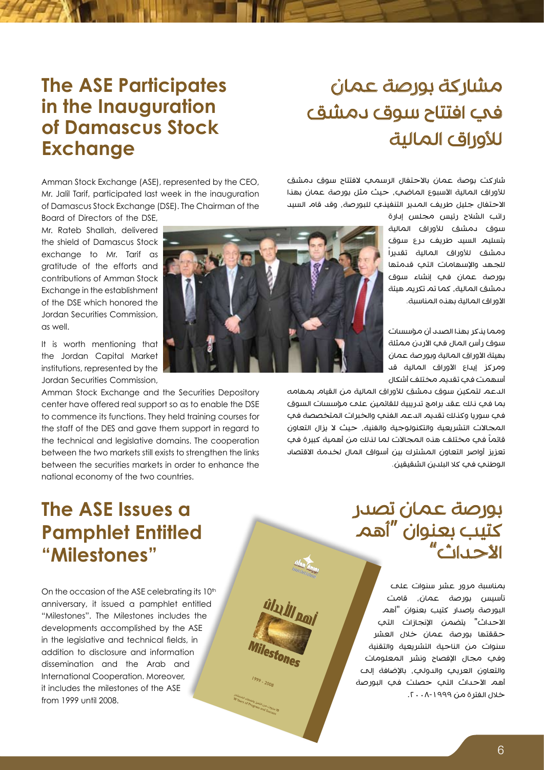## مشاركة بورصة عمان في افتتاح سوق دمشق للأوراق المالية

#### **The ASE Participates in the Inauguration of Damascus Stock Exchange**

Amman Stock Exchange (ASE), represented by the CEO, Mr. Jalil Tarif, participated last week in the inauguration of Damascus Stock Exchange (DSE). The Chairman of the

Board of Directors of the DSE.

Mr. Rateb Shallah, delivered the shield of Damascus Stock exchange to Mr. Tarif as aratitude of the efforts and contributions of Amman Stock Exchange in the establishment of the DSE which honored the Jordan Securities Commission. as well.

It is worth mentioning that the Jordan Capital Market institutions, represented by the Jordan Securities Commission.

Amman Stock Exchange and the Securities Depository center have offered real support so as to enable the DSE to commence its functions. They held training courses for the staff of the DES and gave them support in regard to the technical and legislative domains. The cooperation between the two markets still exists to strengthen the links between the securities markets in order to enhance the national economy of the two countries.

### **The ASE Issues a Pamphlet Entitled "Milestones"**

On the occasion of the ASE celebrating its 10<sup>th</sup> anniversary, it issued a pamphlet entitled "Milestones". The Milestones includes the developments accomplished by the ASE in the legislative and technical fields, in addition to disclosure and information dissemination and the Arab and International Cooperation, Moreover. it includes the milestones of the ASE from 1999 until 2008.

ulu İl noi

Villestones

Nuway closely Hair Go Claim

شاركت بوصة عمان بالاحتفال الرسمي لافتتاح سوق دمشق للأوراق المالية الأسبوع الماضمي، حيث مثل بورصة عمان بهذا االحتفال جليل طريف المدير التنفيذي للبورصة، وقد قام السيد

راتب الشالح رئيس مجلس إدارة سوق دمشق لألوراق المالية بتسليم السيد طريف درع سوق دمشق لألوراق المالية تقديراً للجهد والإسهامات التي قدمتها بورصة عمان في إنشاء سوق دمشق المالية، كما تم تكريم هيئة الأوراق المالية بهذه المناسبة.

ومما يذكر بهذا الصدد أن مؤسسات سوق رأس المال في الأردن ممثلة بهيئة الأوراق المالية وبورصة عمان ومركز إيداع الأوراق المالية قد أسهمت في تقديم مختلف أشكال

الدعم لتمكين سوق دمشق لألوراق المالية من القيام بمهامه بما في ذلك عقد برامج تدريبية للقائمين على مؤسسات السوق في سوريا وكذلك تقديم الدعم الفني والخبرات المتخصصة في المجالات التشريعية والتكنولوجية والفنية، حيث لا يزال التعاون قائماً في مختلف هذه المجالات لما لذلك من أهمية كبيرة في تعزيز أواصر التعاون المشترك بين أسواق المال لخدمة االقتصاد الوطني في كال البلدين الشقيقين.

> بورصة عمان تصدر كتيب بعنوان "أهم  $^{\prime\prime}$ c<sup>\*</sup>ıl.  $\rightarrow$  XI

بمناسبة مرور عشر سنوات على تأسيس بورصة عمان، قامت البورصة بإصدار كتيب بعنوان "أهم الأحداث" يتضمن الإنجازات التي حققتها بورصة عمان خالل العشر سنوات من الناحية التشريعية والتقنية وفي مجال اإلفصاح ونشر المعلومات والتعاون العربي والدولي، باإلضافة إلى أهم الأحداث التب حصلت في البورصة خلال الفترة من ١٩٩٩-٢٠٠٨.

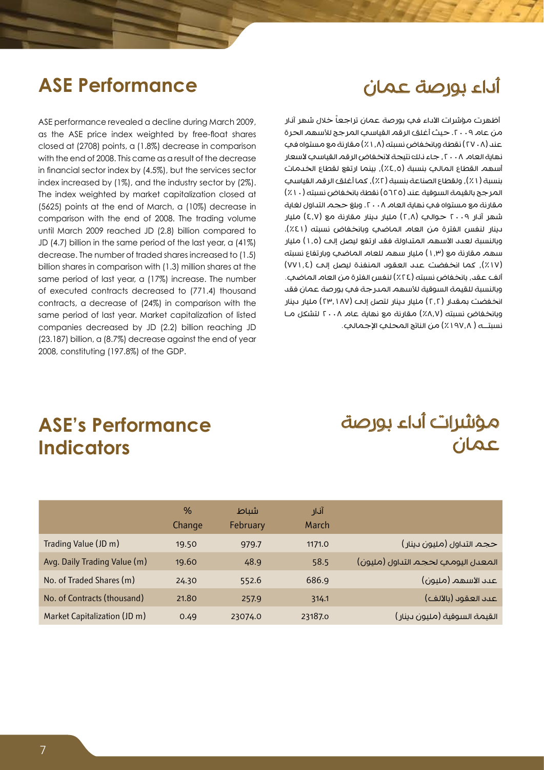#### أداء بورصة عمان

#### **ASE Performance**

ASE performance revealed a decline during March 2009, as the ASE price index weighted by free-float shares closed at (2708) points, a (1.8%) decrease in comparison with the end of 2008. This came as a result of the decrease in financial sector index by (4.5%), but the services sector index increased by (1%), and the industry sector by (2%). The index weighted by market capitalization closed at  $(5625)$  points at the end of March, a  $(10\%)$  decrease in comparison with the end of 2008. The trading volume until March 2009 reached JD (2.8) billion compared to JD (4.7) billion in the same period of the last year, a  $(41\%)$ decrease. The number of traded shares increased to (1.5) billion shares in comparison with (1.3) million shares at the same period of last year, a (17%) increase. The number of executed contracts decreased to (771.4) thousand contracts, a decrease of (24%) in comparison with the same period of last year. Market capitalization of listed companies decreased by JD (2.2) billion reaching JD  $(23.187)$  billion, a  $(8.7%)$  decrease against the end of year 2008, constituting (197.8%) of the GDP.

أظهرت مؤشرات الأداء في بورصة عمان تراجعاً خلال شهر آنار من عام ٢٠٠٩. حيث أغلق الرقم القياسي المرجح للأسهم الحرة عند (٢٧٠٨) نقطة وبانخفاض نسبته (١, ٨٪) مقارنة مع مستواه في نهاية العام ٢٠٠٨، جاء ذلك نتيجة لانخفاض الرقم القياسي لأسعار أسهم القطاع المالي بنسبة )%4.5(، بينما ارتفع لقطاع الخدمات بنسبة (١٪), ولقطاع الصناعة بنسبة (٢٪), كما أغلق الرقم القياسي المرجح بالقيمة السوقية عند (٥٦٢٥) نقطة بانخفاض نسبته (١٠٪) مقارنة مع مستواه في نهاية العام .2008 وبلغ حجم التداول لغاية شهر آنار ٢٠٠٩ حوالب (٢٫٨) مليار دينار مقارنة مع (٤٫٧) مليار دينار لنفس الفترة من العام الماضي وبانخفاض نسبته (٤١٪). وبالنسبة لعدد الأسهم المتداولة فقد ارتفع ليصل إلى (١,٥) مليار سهم مقارنة مع (١,٣) مليار سهم للعام الماضي وبارتفاع نسبته )%17(، كما انخفضت عدد العقود المنفذة ليصل إلى )771.4( ألف عقد، بانخفاض نسبته (٢٤٪) لنفس الفترة من العام الماضي. وبالنسبة للقيمة السوقية لألسهم المدرجة في بورصة عمان فقد انخفضت بمقدار (٢,٢) مليار دينار لتصل إلى (٢٣,١٨٧) مليار دينار وبانخفاض نسبته (٨.٧٪) مقارنة مع نهاية عام ٢٠٠٨ لتشكل مـا نسبتــه ( ١٩٧،٨٪) من الناتج المحلي الإجمالي.

#### **ASE's Performance Indicators**

### مؤشرات أداء بورصة عمان

|                              | %<br>Change | شىاط<br>February | أنار<br>March |                                    |
|------------------------------|-------------|------------------|---------------|------------------------------------|
| Trading Value (JD m)         | 19.50       | 979.7            | 1171.0        | حجم التداول (مليون دينار)          |
| Avg. Daily Trading Value (m) | 19.60       | 48.9             | 58.5          | المعدل اليومي لحجم التداول (مليون) |
| No. of Traded Shares (m)     | 24.30       | 552.6            | 686.9         | عدد الأسهم (مليون)                 |
| No. of Contracts (thousand)  | 21.80       | 257.9            | 314.1         | عىد العقود (بالألف)                |
| Market Capitalization (JD m) | 0.49        | 23074.0          | 23187.0       | القيمة السوقية (مليون دينار)       |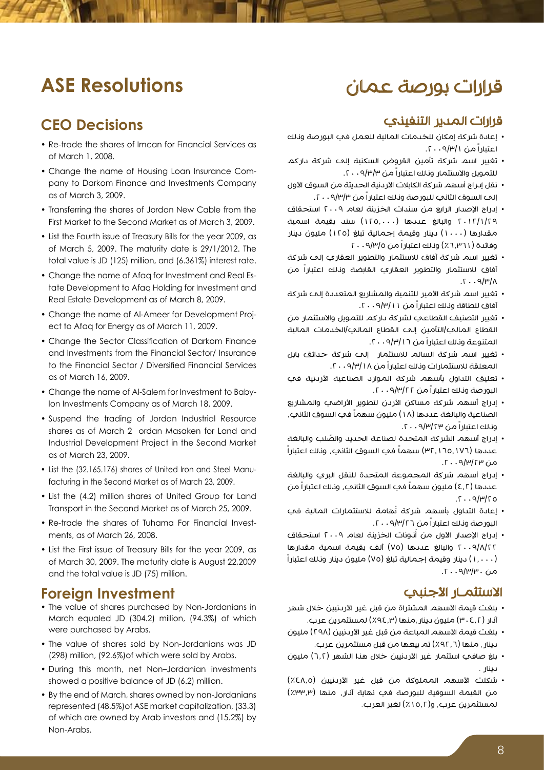#### قرارات بورصة عمان

#### **ASE Resolutions**

#### **CEO** Decisions

- Re-trade the shares of Imcan for Financial Services as of March 1, 2008.
- pany to Darkom Finance and Investments Company • Change the name of Housing Loan Insurance Comas of March 3, 2009.
- Transferring the shares of Jordan New Cable from the First Market to the Second Market as of March 3, 2009.
- List the Fourth issue of Treasury Bills for the year 2009, as of March 5, 2009. The maturity date is  $29/1/2012$ . The total value is JD (125) million, and (6.361%) interest rate.
- tate Development to Afaa Holding for Investment and • Change the name of Afaq for Investment and Real Es-Real Estate Development as of March 8, 2009.
- Change the name of Al-Ameer for Development Project to Afaq for Energy as of March 11, 2009.
- Change the Sector Classification of Darkom Finance and Investments from the Financial Sector/ Insurance to the Financial Sector / Diversified Financial Services as of March 16, 2009.
- Ion Investments Company as of March 18, 2009. • Change the name of Al-Salem for Investment to Baby-
- Suspend the trading of Jordan Industrial Resource shares as of March 2 ordan Masaken for Land and Industrial Development Project in the Second Market as of March 23, 2009.
- facturing in the Second Market as of March 23, 2009. • List the (32.165.176) shares of United Iron and Steel Manu-
- List the (4.2) million shares of United Group for Land Transport in the Second Market as of March 25, 2009.
- Re-trade the shares of Tuhama For Financial Invest-<br>ments, as of March 26, 2008.
- List the First issue of Treasury Bills for the year 2009, as of March 30, 2009. The maturity date is August 22, 2009. and the total value is JD (75) million.

#### **Foreign Investment**

- The value of shares purchased by Non-Jordanians in March equaled JD (304.2) million, (94.3%) of which were purchased by Arabs.
- The value of shares sold by Non-Jordanians was JD (298) million, (92.6%) of which were sold by Arabs.
- During this month, net Non-Jordanian investments showed a positive balance of JD (6.2) million.
- By the end of March, shares owned by non-Jordanians represented (48.5%) of ASE market capitalization, (33.3) of which are owned by Arab investors and (15.2%) by Non-Arabs

#### قرارات المدير التنفيذي

- إعادة شركة إمكان للخدمات المالية للعمل في البورصة وذلك اعتباراً من .2009/3/1
- تغيير اسم شركة تأمين القروض السكنية إلى شركة داركم للتمويل والاستثمار ونلك اعتباراً من ٩/٣/٣٠٠٩.
- نقل إدراج أسهم شركة الكابلات الأردنية الحديثة من السوق الأول إلح السوق الثاني للبورصة ونلك اعتباراً من ٩/٣/٣ . ٢٠
- إدراج اإلصدار الرابع من سندات الخزينة لعام 2009 استحقاق 2012/1/29 والبالغ عددها )125.000( سند بقيمة اسمية مقدارها (١٠٠٠) دينار وقيمة إجمالية تبلغ (١٢٥) مليون دينار وفائدة (١٦,٣٦٪) ونلك اعتباراً من ٢٠٠٩/٣/٥
- تغيير اسم شركة آفاق لالستثمار والتطوير العقاري إلى شركة آفاق لالستثمار والتطوير العقاري القابضة وذلك اعتباراً من  $\Lambda$ |۳/۹ $\cdot$  7.
- تغيير اسم شركة الأمير للتنمية والمشاريع المتعددة إلى شركة آفاق للطاقة وذلك اعتباراً من .2009/3/11
- تغيير التصنيف القطاعي لشركة داركم للتمويل واالستثمار من القطاع المالي/التأمين إلى القطاع المالي/الخدمات المالية المتنوعة ونلك اعتباراً من ١٦/٣/١٦.
- تغيير اسم شركة السالم لالستثمار إلى شركة حدائق بابل المعلقة للاستثمارات ونلك اعتباراً من ١٨ /٩/٣ . ٢٠٠
- تعليق التداول بأسهم شركة الموارد الصناعية الأردنية في البورصة وذلك اعتباراً من .2009/3/22
- إدراج أسهم شركة مساكن الأردن لتطوير الأراضي والمشاريع الصناعية والبالغة عددها (١٨) مليون سهماً في السوق الثاني، وذلك اعتباراً من ١٢٣/٣/٣٠٠٩.
- ُ إدراج أسهم الشركة المتحدة لصناعة الحديد والصلب والبالغة ً في السوق الثاني، وذلك اعتباراً عددها )32.165.176( سهما  $\alpha$ من ۱7/۳/۳۰۰۹.
- إدراج أسهم شركة المجموعة المتحدة للنقل البري والبالغة عددها (٤,٢) مليون سهماً في السوق الثاني، وناك اعتباراً من  $0.7$  $(9/4)$  $(0.75)$
- إعادة التداول بأسهم شركة تُهامة للاستثمارات المالية في البورصة وذلك اعتباراً من .2009/3/26
- إدراج الإصدار الأول من أُنونات الخزينة لعام ٢٠٠٩ استحقاق 2009/8/22 والبالغ عددها )75( ألف بقيمة اسمية مقدارها )1.000( دينار وقيمة إجمالية تبلغ )75( مليون دينار وذلك اعتباراً من ۳/۳/۳۰۰ . آ.

#### الاستثمـار الأجنبي

- بلغت قيمة الأسهم المشتراة من قبل غير الأردنيين خلال شهر آذار )304.2( مليون دينار،منها )%94.3( لمستثمرين عرب.
- بلغت قيمة الأسهم المباعة من قبل غير الأردنيين (٢٩٨) مليون دينار، منها )%92.6( تم بيعها من قبل مستثمرين عرب.
- بلغ صافي استثمار غير الأردنيين خلال هذا الشهر (٦,٢) مليون دينار .
- شكلت األسهم المملوكة من قبل غير األردنيين )%48.5( من القيمة السوقية للبورصة في نهاية آنار، منها (٣٣.٣٪) لمستثمرين عرب، و(١٥,٢٪) لغير العرب.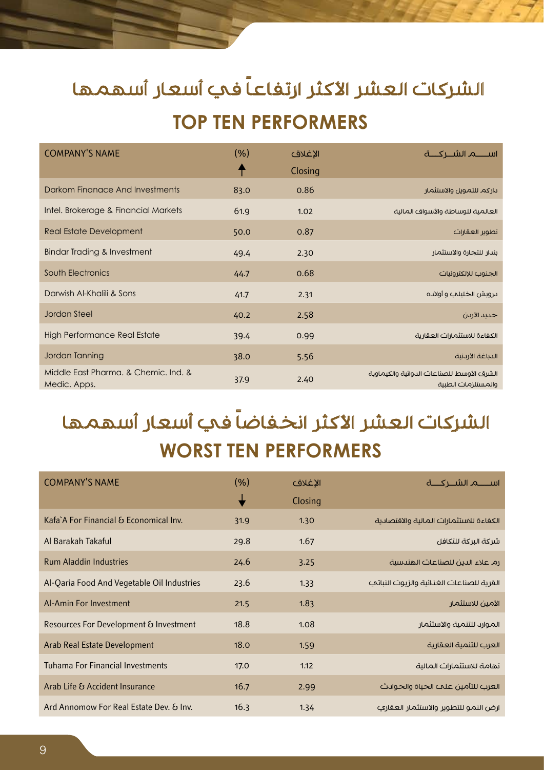# الشركات العشر الأكثر ارتفاعاً في أسعار أسهمها **TOP TEN PERFORMERS**

| <b>COMPANY'S NAME</b>                                | (% )<br>╇ | الإغلاق<br>Closing |                                                                 |
|------------------------------------------------------|-----------|--------------------|-----------------------------------------------------------------|
| Darkom Finangce And Investments                      | 83.0      | 0.86               | ىاركم للتمويل والاستثمار                                        |
| Intel. Brokerage & Financial Markets                 | 61.9      | 1.02               | العالمية للوساطة والأسواق المالية                               |
| Real Estate Development                              | 50.0      | 0.87               | تطوير العقارات                                                  |
| <b>Bindar Trading &amp; Investment</b>               | 49.4      | 2.30               | بندار للتجارة والاستثمار                                        |
| South Electronics                                    | 44.7      | 0.68               | الجنوب للإلكترونيات                                             |
| Darwish Al-Khalili & Sons                            | 41.7      | 2.31               | ىرويش الخليلي و أولاده                                          |
| Jordan Steel                                         | 40.2      | 2.58               | حديد الأردن                                                     |
| <b>High Performance Real Estate</b>                  | 39.4      | 0.99               | الكفاءة للاستثمارات العقارية                                    |
| Jordan Tanning                                       | 38.0      | 5.56               | الدباغة الأرىنية                                                |
| Middle East Pharma, & Chemic, Ind. &<br>Medic. Apps. | 37.9      | 2.40               | الشرق الأوسط للصناعات الدوائية والكيماوية<br>والمستلزمات الطبية |

# الشركات العشر الأكثر انخفاضاً في أسعار أسهمها **WORST TEN PERFORMERS**

| <b>COMPANY'S NAME</b>                      | (% ) | الاغلاق |                                          |
|--------------------------------------------|------|---------|------------------------------------------|
|                                            | ╈    | Closing |                                          |
| Kafa A For Financial & Economical Inv.     | 31.9 | 1.30    | الكفاءة للاستثمارات المالية والاقتصادية  |
| Al Barakah Takaful                         | 29.8 | 1.67    | شركة البركة للتكافل                      |
| <b>Rum Aladdin Industries</b>              | 24.6 | 3.25    | رم علاء الدين للصناعات الهندسية          |
| Al-Qaria Food And Vegetable Oil Industries | 23.6 | 1.33    | القرية للصناعات الغذائية والزيوت النباتي |
| Al-Amin For Investment                     | 21.5 | 1.83    | الأمين للاستثمار                         |
| Resources For Development & Investment     | 18.8 | 1.08    | الموارد للتنمية والاستثمار               |
| <b>Arab Real Estate Development</b>        | 18.0 | 1.59    | العرب للتنمية العقارية                   |
| <b>Tuhama For Financial Investments</b>    | 17.0 | 1.12    | تهامة للاستثمارات المالية                |
| Arab Life & Accident Insurance             | 16.7 | 2.99    | العرب للتأمين علمء الحياة والحوادث       |
| Ard Annomow For Real Estate Dev. & Inv.    | 16.3 | 1.34    | ارض النمو للتطوير والاستثمار العقاري     |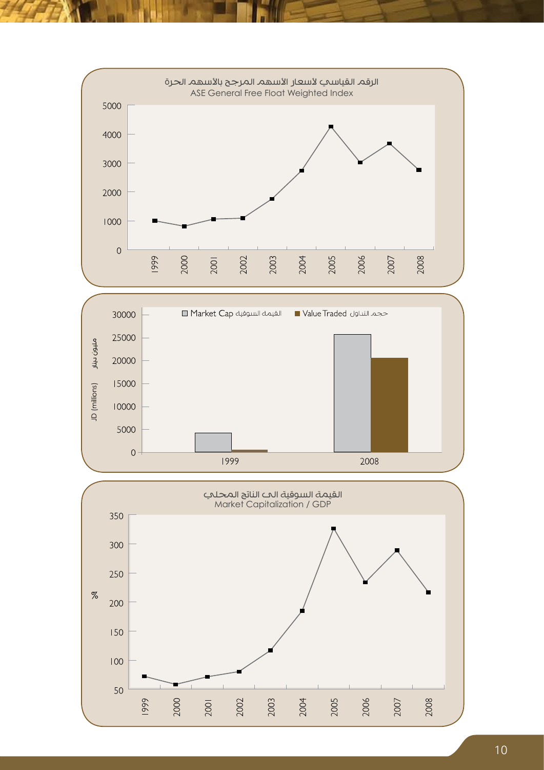



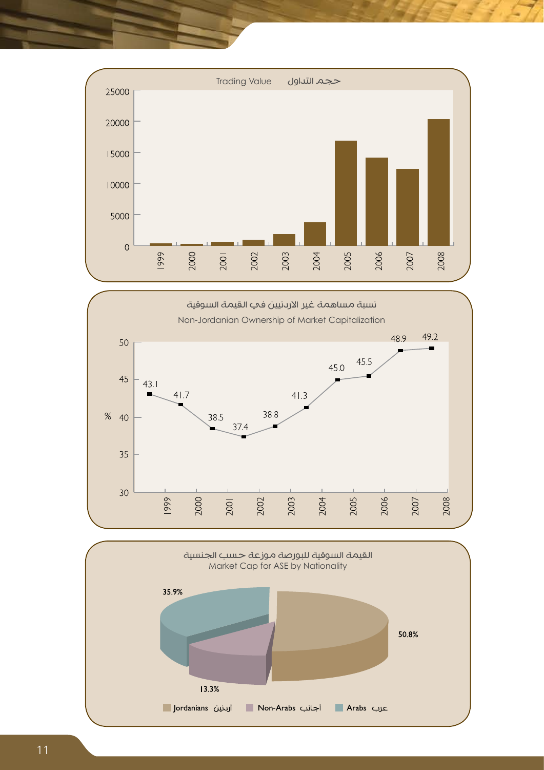